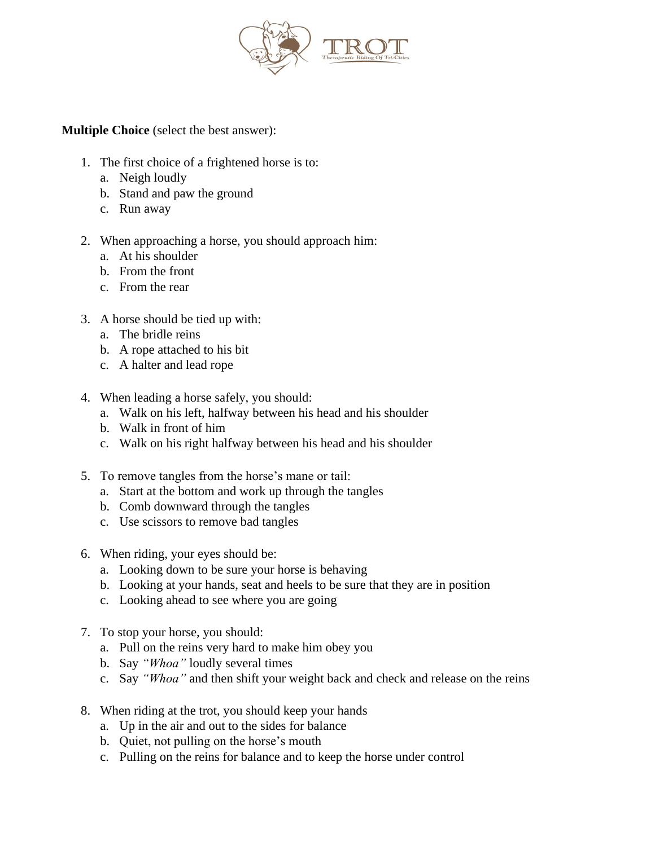

**Multiple Choice** (select the best answer):

- 1. The first choice of a frightened horse is to:
	- a. Neigh loudly
	- b. Stand and paw the ground
	- c. Run away
- 2. When approaching a horse, you should approach him:
	- a. At his shoulder
	- b. From the front
	- c. From the rear
- 3. A horse should be tied up with:
	- a. The bridle reins
	- b. A rope attached to his bit
	- c. A halter and lead rope
- 4. When leading a horse safely, you should:
	- a. Walk on his left, halfway between his head and his shoulder
	- b. Walk in front of him
	- c. Walk on his right halfway between his head and his shoulder
- 5. To remove tangles from the horse's mane or tail:
	- a. Start at the bottom and work up through the tangles
	- b. Comb downward through the tangles
	- c. Use scissors to remove bad tangles
- 6. When riding, your eyes should be:
	- a. Looking down to be sure your horse is behaving
	- b. Looking at your hands, seat and heels to be sure that they are in position
	- c. Looking ahead to see where you are going
- 7. To stop your horse, you should:
	- a. Pull on the reins very hard to make him obey you
	- b. Say *"Whoa"* loudly several times
	- c. Say *"Whoa"* and then shift your weight back and check and release on the reins
- 8. When riding at the trot, you should keep your hands
	- a. Up in the air and out to the sides for balance
	- b. Quiet, not pulling on the horse's mouth
	- c. Pulling on the reins for balance and to keep the horse under control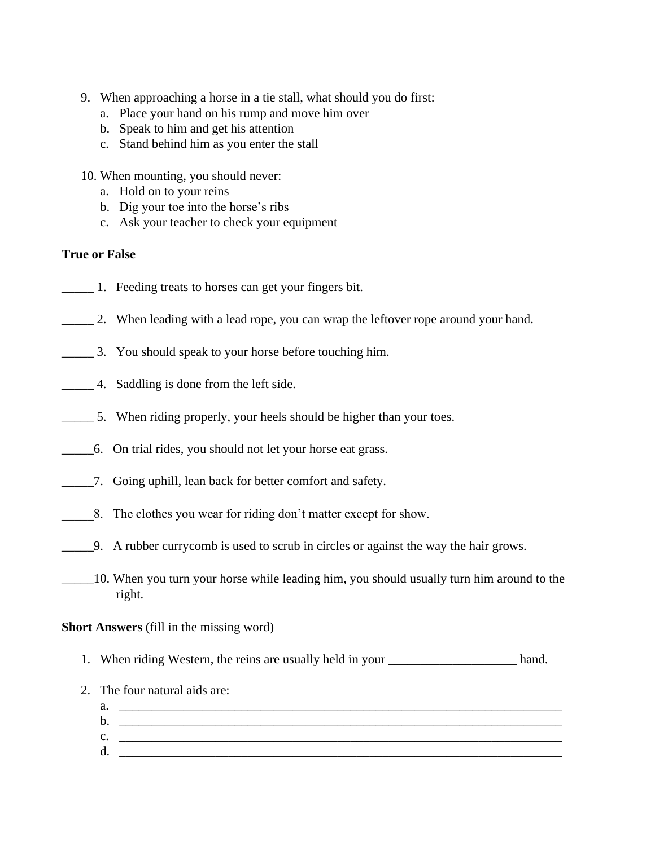- 9. When approaching a horse in a tie stall, what should you do first:
	- a. Place your hand on his rump and move him over
	- b. Speak to him and get his attention
	- c. Stand behind him as you enter the stall
- 10. When mounting, you should never:
	- a. Hold on to your reins
	- b. Dig your toe into the horse's ribs
	- c. Ask your teacher to check your equipment

#### **True or False**

- \_\_\_\_\_ 1. Feeding treats to horses can get your fingers bit.
- 2. When leading with a lead rope, you can wrap the leftover rope around your hand.
- \_\_\_\_\_ 3. You should speak to your horse before touching him.
- \_\_\_\_\_ 4. Saddling is done from the left side.
- \_\_\_\_\_ 5. When riding properly, your heels should be higher than your toes.
- \_\_\_\_\_6. On trial rides, you should not let your horse eat grass.
- \_\_\_\_\_7. Going uphill, lean back for better comfort and safety.
- \_\_\_\_\_8. The clothes you wear for riding don't matter except for show.
- \_\_\_\_\_9. A rubber currycomb is used to scrub in circles or against the way the hair grows.
- \_\_\_\_\_10. When you turn your horse while leading him, you should usually turn him around to the right.

#### **Short Answers** (fill in the missing word)

- 1. When riding Western, the reins are usually held in your hand.
- 2. The four natural aids are:
	- a.  $\Box$  $\mathbf{b}$ .  $c.$  $d.$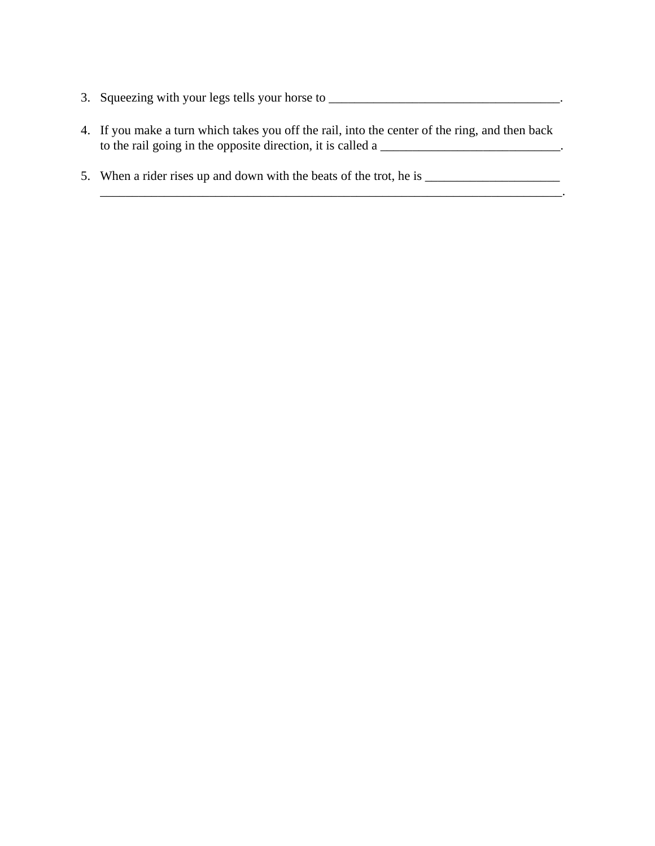- 3. Squeezing with your legs tells your horse to \_\_\_\_\_\_\_\_\_\_\_\_\_\_\_\_\_\_\_\_\_\_\_\_\_\_\_\_\_\_\_\_\_\_\_\_.
- 4. If you make a turn which takes you off the rail, into the center of the ring, and then back to the rail going in the opposite direction, it is called a \_\_\_\_\_\_\_\_\_\_\_\_\_\_\_\_\_\_\_\_\_\_\_\_\_\_\_\_\_\_.

\_\_\_\_\_\_\_\_\_\_\_\_\_\_\_\_\_\_\_\_\_\_\_\_\_\_\_\_\_\_\_\_\_\_\_\_\_\_\_\_\_\_\_\_\_\_\_\_\_\_\_\_\_\_\_\_\_\_\_\_\_\_\_\_\_\_\_\_\_\_\_\_.

5. When a rider rises up and down with the beats of the trot, he is \_\_\_\_\_\_\_\_\_\_\_\_\_\_\_\_\_\_\_\_\_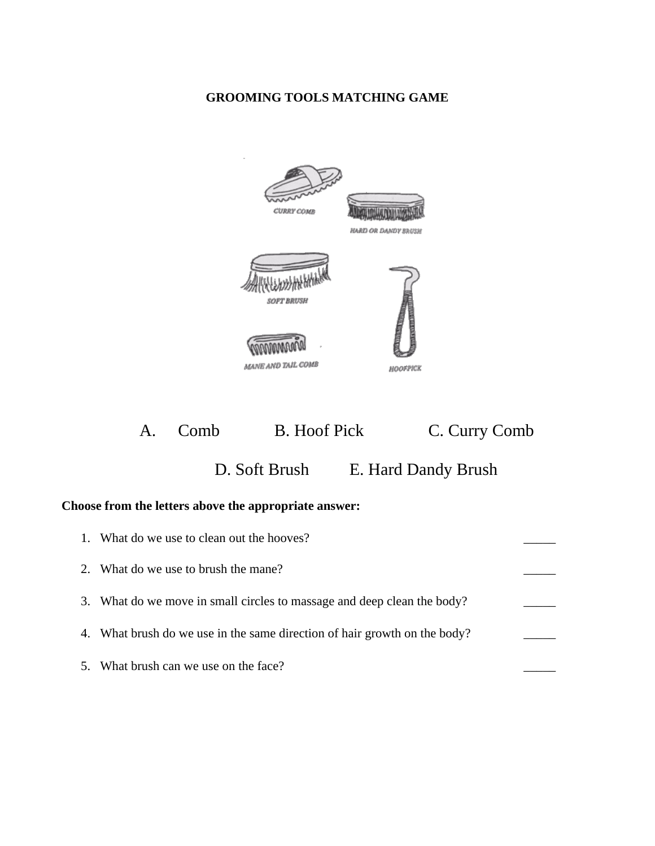# **GROOMING TOOLS MATCHING GAME**



A. Comb B. Hoof Pick C. Curry Comb D. Soft Brush E. Hard Dandy Brush

## **Choose from the letters above the appropriate answer:**

| 1. | What do we use to clean out the hooves?                                 |  |
|----|-------------------------------------------------------------------------|--|
| 2. | What do we use to brush the mane?                                       |  |
|    | 3. What do we move in small circles to massage and deep clean the body? |  |
| 4. | What brush do we use in the same direction of hair growth on the body?  |  |
| 5. | What brush can we use on the face?                                      |  |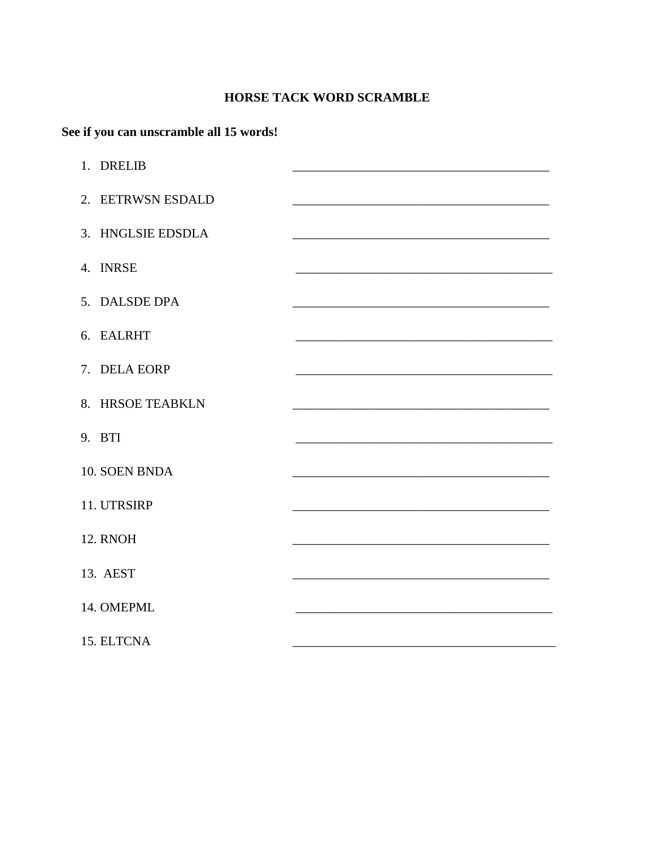# HORSE TACK WORD SCRAMBLE

# See if you can unscramble all 15 words!

| 1. DRELIB         |                                                                     |  |  |
|-------------------|---------------------------------------------------------------------|--|--|
| 2. EETRWSN ESDALD | <u> 1989 - Johann Barbara, martxa alemaniar amerikan basar da a</u> |  |  |
| 3. HNGLSIE EDSDLA |                                                                     |  |  |
| 4. INRSE          |                                                                     |  |  |
| 5. DALSDE DPA     |                                                                     |  |  |
| 6. EALRHT         |                                                                     |  |  |
| 7. DELA EORP      |                                                                     |  |  |
| 8. HRSOE TEABKLN  |                                                                     |  |  |
| 9. BTI            |                                                                     |  |  |
| 10. SOEN BNDA     |                                                                     |  |  |
| 11. UTRSIRP       |                                                                     |  |  |
| <b>12. RNOH</b>   |                                                                     |  |  |
| 13. AEST          |                                                                     |  |  |
| 14. OMEPML        |                                                                     |  |  |
| 15. ELTCNA        |                                                                     |  |  |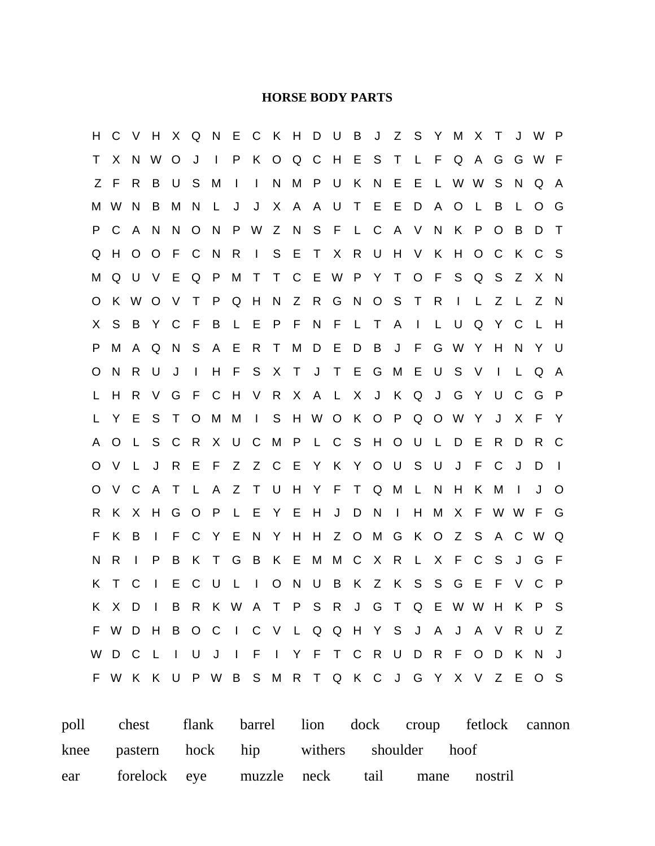#### **HORSE BODY PARTS**

H C V H X Q N E C K H D U B J Z S Y M X T J W P T X N W O J I P K O Q C H E S T L F Q A G G W F Z F R B U S M I I N M P U K N E E L W W S N Q A M W N B M N L J J X A A U T E E D A O L B L O G P C A N N O N P W Z N S F L C A V N K P O B D T Q H O O F C N R I S E T X R U H V K H O C K C S M Q U V E Q P M T T C E W P Y T O F S Q S Z X N O K W O V T P Q H N Z R G N O S T R I L Z L Z N X S B Y C F B L E P F N F L T A I L U Q Y C L H P M A Q N S A E R T M D E D B J F G W Y H N Y U O N R U J I H F S X T J T E G M E U S V I L Q A L H R V G F C H V R X A L X J K Q J G Y U C G P L Y E S T O M M I S H W O K O P Q O W Y J X F Y A O L S C R X U C M P L C S H O U L D E R D R C O V L J R E F Z Z C E Y K Y O U S U J F C J D I O V C A T L A Z T U H Y F T Q M L N H K M I J O R K X H G O P L E Y E H J D N I H M X F W W F G F K B I F C Y E N Y H H Z O M G K O Z S A C W Q N R I P B K T G B K E M M C X R L X F C S J G F K T C I E C U L I O N U B K Z K S S G E F V C P K X D I B R K W A T P S R J G T Q E W W H K P S F W D H B O C I C V L Q Q H Y S J A J A V R U Z W D C L I U J I F I Y F T C R U D R F O D K N J F W K K U P W B S M R T Q K C J G Y X V Z E O S

poll chest flank barrel lion dock croup fetlock cannon knee pastern hock hip withers shoulder hoof ear forelock eye muzzle neck tail mane nostril